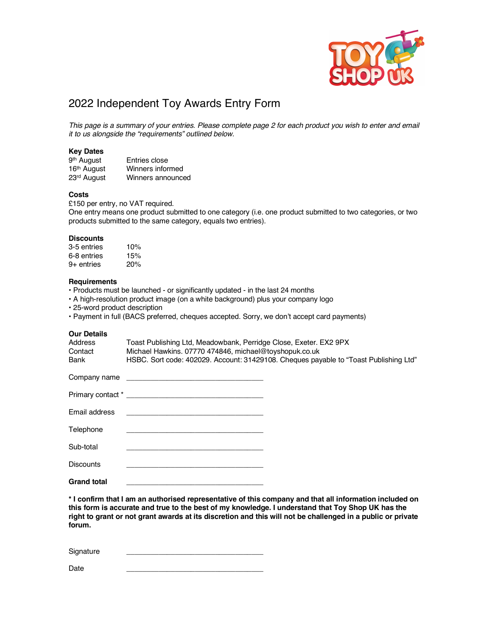

# 2022 Independent Toy Awards Entry Form

*This page is a summary of your entries. Please complete page 2 for each product you wish to enter and email it to us alongside the "requirements" outlined below.*

# **Key Dates**

| 9 <sup>th</sup> August  | Entries close     |
|-------------------------|-------------------|
| 16 <sup>th</sup> August | Winners informed  |
| 23rd August             | Winners announced |

## **Costs**

£150 per entry, no VAT required. One entry means one product submitted to one category (i.e. one product submitted to two categories, or two products submitted to the same category, equals two entries).

#### **Discounts**

| 3-5 entries  | 10% |
|--------------|-----|
| 6-8 entries  | 15% |
| $9+$ entries | 20% |

#### **Requirements**

• Products must be launched - or significantly updated - in the last 24 months

- A high-resolution product image (on a white background) plus your company logo
- 25-word product description
- Payment in full (BACS preferred, cheques accepted. Sorry, we don't accept card payments)

## **Our Details**

| Address<br>Contact<br>Bank | Toast Publishing Ltd, Meadowbank, Perridge Close, Exeter. EX2 9PX<br>Michael Hawkins. 07770 474846, michael@toyshopuk.co.uk                                                                                                    | HSBC. Sort code: 402029. Account: 31429108. Cheques payable to "Toast Publishing Ltd" |
|----------------------------|--------------------------------------------------------------------------------------------------------------------------------------------------------------------------------------------------------------------------------|---------------------------------------------------------------------------------------|
|                            | Company name that the company name of the company name of the company of the company of the company of the company of the company of the company of the company of the company of the company of the company of the company of |                                                                                       |
|                            |                                                                                                                                                                                                                                |                                                                                       |
| Email address              | the control of the control of the control of the control of the control of the control of                                                                                                                                      |                                                                                       |
| Telephone                  | the control of the control of the control of the control of the control of the control of                                                                                                                                      |                                                                                       |
| Sub-total                  |                                                                                                                                                                                                                                |                                                                                       |
| <b>Discounts</b>           |                                                                                                                                                                                                                                |                                                                                       |
| <b>Grand total</b>         |                                                                                                                                                                                                                                |                                                                                       |

**\* I confirm that I am an authorised representative of this company and that all information included on this form is accurate and true to the best of my knowledge. I understand that Toy Shop UK has the right to grant or not grant awards at its discretion and this will not be challenged in a public or private forum.**

Signature

Date \_\_\_\_\_\_\_\_\_\_\_\_\_\_\_\_\_\_\_\_\_\_\_\_\_\_\_\_\_\_\_\_\_\_